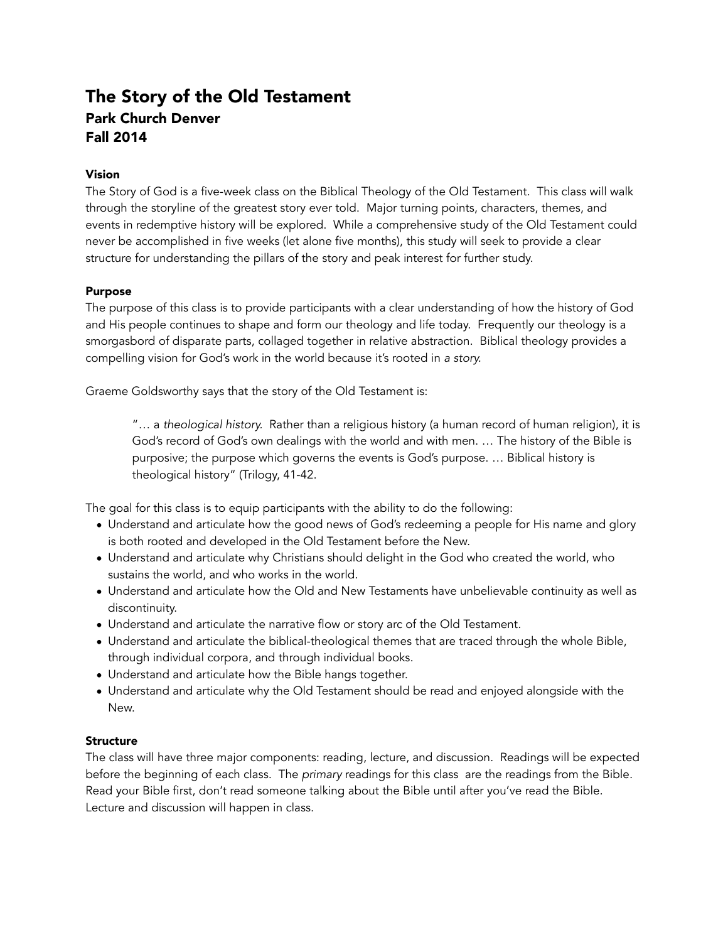# The Story of the Old Testament Park Church Denver Fall 2014

# Vision

The Story of God is a five-week class on the Biblical Theology of the Old Testament. This class will walk through the storyline of the greatest story ever told. Major turning points, characters, themes, and events in redemptive history will be explored. While a comprehensive study of the Old Testament could never be accomplished in five weeks (let alone five months), this study will seek to provide a clear structure for understanding the pillars of the story and peak interest for further study.

### Purpose

The purpose of this class is to provide participants with a clear understanding of how the history of God and His people continues to shape and form our theology and life today. Frequently our theology is a smorgasbord of disparate parts, collaged together in relative abstraction. Biblical theology provides a compelling vision for God's work in the world because it's rooted in *a story.* 

Graeme Goldsworthy says that the story of the Old Testament is:

"… a *theological history.* Rather than a religious history (a human record of human religion), it is God's record of God's own dealings with the world and with men. … The history of the Bible is purposive; the purpose which governs the events is God's purpose. … Biblical history is theological history" (Trilogy, 41-42.

The goal for this class is to equip participants with the ability to do the following:

- Understand and articulate how the good news of God's redeeming a people for His name and glory is both rooted and developed in the Old Testament before the New.
- Understand and articulate why Christians should delight in the God who created the world, who sustains the world, and who works in the world.
- Understand and articulate how the Old and New Testaments have unbelievable continuity as well as discontinuity.
- Understand and articulate the narrative flow or story arc of the Old Testament.
- Understand and articulate the biblical-theological themes that are traced through the whole Bible, through individual corpora, and through individual books.
- Understand and articulate how the Bible hangs together.
- Understand and articulate why the Old Testament should be read and enjoyed alongside with the New.

### **Structure**

The class will have three major components: reading, lecture, and discussion. Readings will be expected before the beginning of each class. The *primary* readings for this class are the readings from the Bible. Read your Bible first, don't read someone talking about the Bible until after you've read the Bible. Lecture and discussion will happen in class.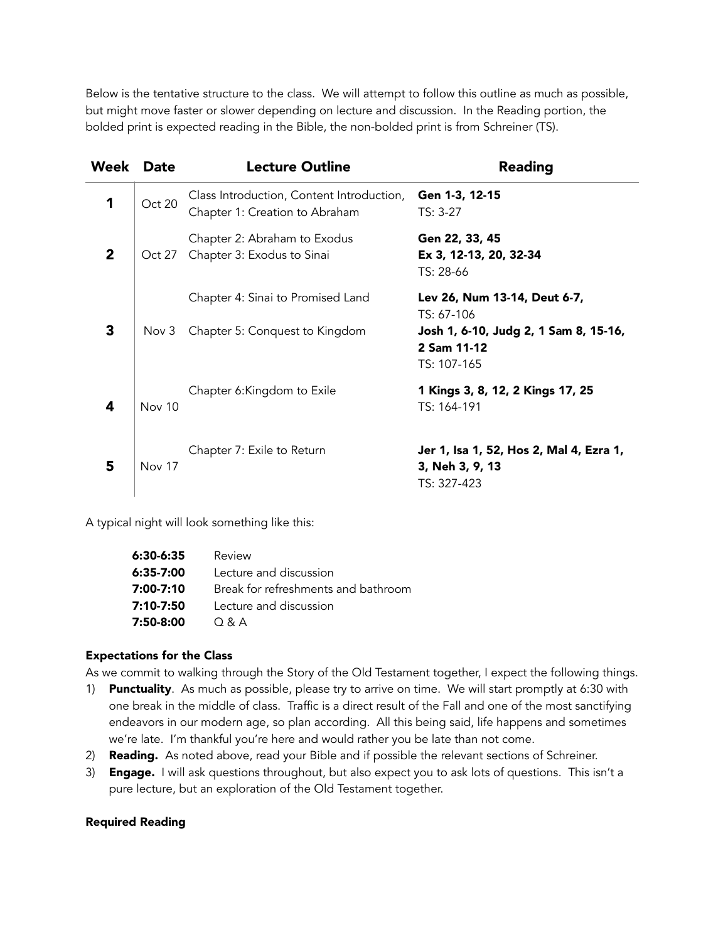Below is the tentative structure to the class. We will attempt to follow this outline as much as possible, but might move faster or slower depending on lecture and discussion. In the Reading portion, the bolded print is expected reading in the Bible, the non-bolded print is from Schreiner (TS).

| Week        | <b>Date</b>   | <b>Lecture Outline</b>                                                      | <b>Reading</b>                                                                                                    |
|-------------|---------------|-----------------------------------------------------------------------------|-------------------------------------------------------------------------------------------------------------------|
| 1           | Oct 20        | Class Introduction, Content Introduction,<br>Chapter 1: Creation to Abraham | Gen 1-3, 12-15<br>TS: 3-27                                                                                        |
| $\mathbf 2$ | Oct 27        | Chapter 2: Abraham to Exodus<br>Chapter 3: Exodus to Sinai                  | Gen 22, 33, 45<br>Ex 3, 12-13, 20, 32-34<br>TS: 28-66                                                             |
| 3           | Nov 3         | Chapter 4: Sinai to Promised Land<br>Chapter 5: Conquest to Kingdom         | Lev 26, Num 13-14, Deut 6-7,<br>TS: 67-106<br>Josh 1, 6-10, Judg 2, 1 Sam 8, 15-16,<br>2 Sam 11-12<br>TS: 107-165 |
| 4           | <b>Nov 10</b> | Chapter 6: Kingdom to Exile                                                 | 1 Kings 3, 8, 12, 2 Kings 17, 25<br>TS: 164-191                                                                   |
| 5           | Nov 17        | Chapter 7: Exile to Return                                                  | Jer 1, Isa 1, 52, Hos 2, Mal 4, Ezra 1,<br>3, Neh 3, 9, 13<br>TS: 327-423                                         |

A typical night will look something like this:

| 6:30-6:35 | Review                              |
|-----------|-------------------------------------|
| 6:35-7:00 | Lecture and discussion              |
| 7:00-7:10 | Break for refreshments and bathroom |
| 7:10-7:50 | Lecture and discussion              |
| 7:50-8:00 | $O$ & A                             |

### Expectations for the Class

As we commit to walking through the Story of the Old Testament together, I expect the following things.

- 1) Punctuality. As much as possible, please try to arrive on time. We will start promptly at 6:30 with one break in the middle of class. Traffic is a direct result of the Fall and one of the most sanctifying endeavors in our modern age, so plan according. All this being said, life happens and sometimes we're late. I'm thankful you're here and would rather you be late than not come.
- 2) Reading. As noted above, read your Bible and if possible the relevant sections of Schreiner.
- 3) Engage. I will ask questions throughout, but also expect you to ask lots of questions. This isn't a pure lecture, but an exploration of the Old Testament together.

#### Required Reading